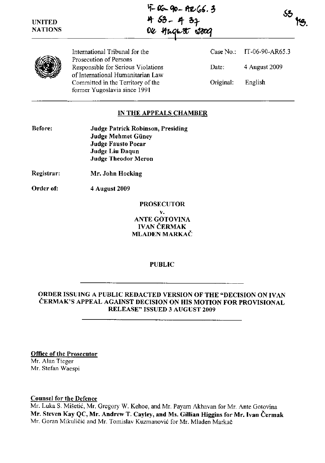$4-06-90-926.3$ <sup>~</sup>**6&\_ If- 0.r**   $oc$  *Anglest 2800* 





International Tribunal for the Prosecution of Persons Responsible for Serious Violations of International Humanitarian Law Committed in the Territory of the former Yugoslavia since 1991

Case No.: IT-06-90-AR65.3 Date: 4 August 2009 Original: English

## IN THE APPEALS CHAMBER

| <b>Before:</b> | <b>Judge Patrick Robinson, Presiding</b> |
|----------------|------------------------------------------|
|                | Judge Mehmet Güney                       |
|                | <b>Judge Fausto Pocar</b>                |
|                | Judge Liu Daqun                          |
|                | <b>Judge Theodor Meron</b>               |

- Registrar: Mr. John Hocking
- Order of: 4 August 2009

## PROSECUTOR v. ANTE GOTOVINA IVAN ČERMAK MLADEN MARKAČ

#### PUBLIC

ORDER ISSUING A PUBLIC REDACTED VERSION OF THE "DECISION ON IVAN ČERMAK'S APPEAL AGAINST DECISION ON HIS MOTION FOR PROVISIONAL RELEASE" ISSUED 3 AUGUST 2009

Office of the Prosecutor

Mr. Alan Tieger Mr. Stefan Waespi

#### Counsel for the Defence

Mr. Luka S. Mišetić, Mr. Gregory W. Kehoe, and Mr. Payam Akhavan for Mr. Ante Gotovina Mr. Steven Kay QC, Mr. Andrew T. Cayley, and Ms. Gillian Higgins for Mr. Ivan Čermak Mr. Goran Mikuličić and Mr. Tomislav Kuzmanović for Mr. Mladen Markač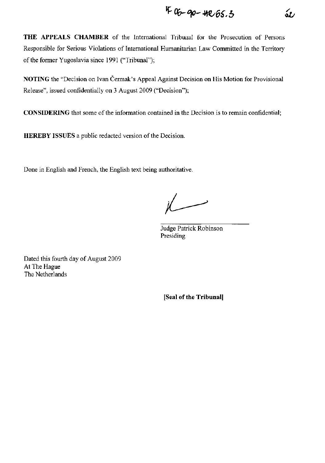$$
406 - 90 - 40.65.5
$$

**THE APPEALS CHAMBER** of the International Tribunal for the Prosecution of Persons Responsible for Serious Violations of International Humanitarian Law Committed in the Territory of the former Yugoslavia since 1991 ("Tribunal");

**NOTING** the "Decision on Ivan Čermak's Appeal Against Decision on His Motion for Provisional Release", issued confidentially on 3 August 2009 ("Decision");

**CONSIDERING** that some of the information contained in the Decision is to remain confidential;

**HEREBY ISSUES** a public redacted version of the Decision.

Done in English and French, the English text being authoritative.

 $\overline{\phantom{a}}$ 

Judge Patrick Robinson Presiding

Dated this fourth day of August 2009 At The Hague The Netherlands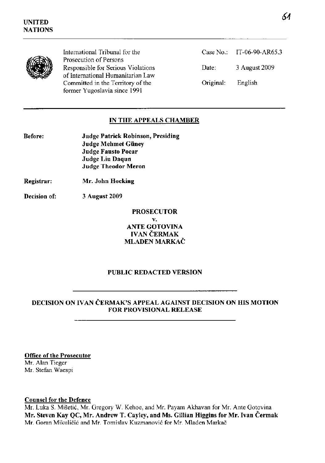

International Tribunal for the Prosecution of Persons Responsible for Serious Violations of International Humanitarian Law Committed in the Territory of the former Yugoslavia since 1991

| Case $No.$ : | IT-06-90-AR65.3 |
|--------------|-----------------|
| Date:        | 3 August 2009   |
| Original:    | English         |

## **IN THE APPEALS CHAMBER**

| Before: | <b>Judge Patrick Robinson, Presiding</b> |
|---------|------------------------------------------|
|         | <b>Judge Mehmet Güney</b>                |
|         | <b>Judge Fausto Pocar</b>                |
|         | Judge Liu Daqun                          |
|         | <b>Judge Theodor Meron</b>               |
|         |                                          |

**Registrar: Mr. John Hocking** 

**Decision of: 3 August 2009** 

**PROSECUTOR** 

**v. ANTE GOTOVINA**  IVAN ČERMAK **MLADEN** MARKAČ

### **PUBLIC REDACTED VERSION**

### **DECISION ON IVAN** ČERMAK'S **APPEAL AGAINST DECISION ON HIS MOTION FOR PROVISIONAL RELEASE**

**Office of the Prosecutor** 

Mr. Alan Tieger Mr. Stefan Waespi

#### **Counsel for the Defence**

Mr. Luka S. Mišetić, Mr. Gregory W. Kehoe, and Mr. Payam Akhavan for Mr. Ante Gotovina **Mr. Steven Kay QC, Mr. Andrew T. Cayley, and Ms. Gillian Higgins for Mr. Ivan** Čermak Mr. Goran Mikuličić and Mr. Tomislav Kuzmanović for Mr. Mladen Markač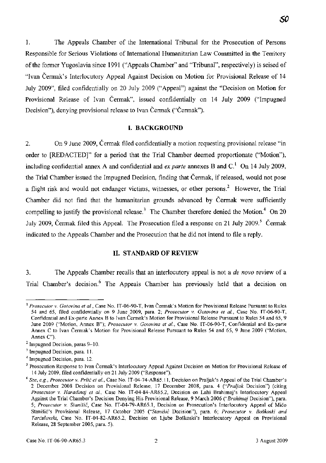1. The Appeals Chamber of the International Tribunal for the Prosecution of Persons Responsible for Serious Violations of International Humanitarian Law Committed in the Territory of the former Yugoslavia since 1991 ("Appeals Chamber" and "Tribunal", respectively) is seised of "Ivan Čermak's Interlocutory Appeal Against Decision on Motion for Provisional Release of 14 July 2009", filed confidentially on 20 July 2009 ("Appeal") against the "Decision on Motion for Provisional Release of Ivan Čermak", issued confidentially on 14 July 2009 ("Impugned Decision"), denying provisional release to Ivan Čermak ("Čermak").

#### **I. BACKGROUND**

2. On 9 June 2009, Čermak filed confidentially a motion requesting provisional release "in order to [REDACTED]" for a period that the Trial Chamber deemed proportionate ("Motion"), including confidential annex A and confidential and *ex parte* annexes B and  $C<sup>1</sup>$  On 14 July 2009, the Trial Chamber issued the Impugned Decision, finding that Čermak, if released, would not pose a flight risk and would not endanger victims, witnesses, or other persons? However, the Trial Chamber did not find that the humanitarian grounds advanced by Čermak were sufficiently compelling to justify the provisional release.<sup>3</sup> The Chamber therefore denied the Motion.<sup>4</sup> On 20 July 2009, Čermak filed this Appeal. The Prosecution filed a response on 21 July 2009.<sup>5</sup> Čermak indicated to the Appeals Chamber and the Prosecution that he did not intend to file a reply.

#### **II. STANDARD OF REVIEW**

3. The Appeals Chamber recalls that an interlocutory appeal is not a *de novo* review of a Trial Chamber's decision.<sup>6</sup> The Appeals Chamber has previously held that a decision on

<sup>l</sup>*Prosecutor* v. *Gotovina et al.,* Case No. IT-06-90-T, Ivan Čermak's Motion for Provisional Release Pursuant to Rules 54 and 65, filed confidentially on 9 June 2009, para. 2; *Prosecutor* v. *Gotovina et al.,* Case No. IT-06-90-T, Confidential and Ex-parte Annex B to Ivan Čermak's Motion for Provisional Release Pursuant to Rules 54 and 65,9 June 2009 ("Motion, Annex B"); *Prosecutor* v. *Gotovina et al.,* Case No. IT-06-90-T, Confidential and Ex-parte Annex C to Ivan Čermak's Motion for Provisional Release Pursuant to Rules 54 and 65, 9 June 2009 ("Motion, Annex C").

<sup>&</sup>lt;sup>2</sup> Impugned Decision, paras 9-10.

<sup>&</sup>lt;sup>3</sup> Impugned Decision, para. 11.

<sup>4</sup>Impugned Decision, para. 12.

<sup>5</sup> Prosecution Response to Ivan Čermak's Interlocutory Appeal Against Decision on Motion for Provisional Release of 14 July 2009, filed confidentially on 21 July 2009 ("Response").

<sup>&</sup>lt;sup>6</sup> See, e.g., Prosecutor v. Prlić et al., Case No. IT-04-74-AR65.11, Decision on Praljak's Appeal of the Trial Chamber's 2 December 2008 Decision on Provisional Release, 17 December 2008, para. 4 *("Praljak* Decision") (citing *Prosecutor* v. *Haradinaj et al.,* Case No. IT-04-84-AR65.2, Decision on Lahi Brahimaj's Interlocutory Appeal Against the Trial Chamber's Decision Denying His Provisional Release, 9 March 2006 *("Brahimaj Decision")*, para. 5; Prosecutor v. Stanišić, Case No. IT-04-79-AR65.1, Decision on Prosecution's Interlocutory Appeal of Mićo Stanišić's Provisional Release, 17 October 2005 ("Stanišić Decision"), para. 6; *Prosecutor* v. *Boškoski and*  Tarčulovski, Case No. IT-04-82-AR65.2, Decision on Ljube Boškoski's Interlocutory Appeal on Provisional Release, 28 September 2005, para. 5).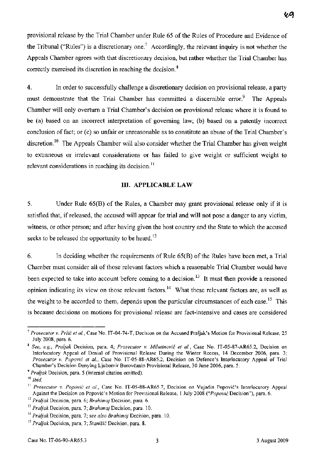provisional release by the Trial Chamber under Rule 65 of the Rules of Procedure and Evidence of the Tribunal ("Rules") is a discretionary one.<sup>7</sup> Accordingly, the relevant inquiry is not whether the Appeals Chamber agrees with that discretionary decision, but rather whether the Trial Chamber has correctly exercised its discretion in reaching the decision. 8

4. In order to successfully challenge a discretionary decision on provisional release, a party must demonstrate that the Trial Chamber has committed a discernible error.<sup>9</sup> The Appeals Chamber will only overturn a Trial Chamber's decision on provisional release where it is found to be (a) based on an incorrect interpretation of governing law; (b) based on a patently incorrect conclusion of fact; or (c) so unfair or unreasonable as to constitute an abuse of the Trial Chamber's discretion.<sup>10</sup> The Appeals Chamber will also consider whether the Trial Chamber has given weight to extraneous or irrelevant considerations or has failed to give weight or sufficient weight to relevant considerations in reaching its decision.<sup>11</sup>

### **III. APPLICABLE LAW**

5. Under Rule 65(B) of the Rules, a Chamber may grant provisional release only if it is satisfied that, if released, the accused will appear for trial and will not pose a danger to any victim, witness, or other person; and after having given the host country and the State to which the accused seeks to be released the opportunity to be heard.<sup>12</sup>

6. In deciding whether the requirements of Rule 65(B) of the Rules have been met, a Trial Chamber must consider all of those relevant factors which a reasonable Trial Chamber would have been expected to take into account before coming to a decision.<sup>13</sup> It must then provide a reasoned opinion indicating its view on those relevant factors. 14 What these relevant factors are, as well as the weight to be accorded to them, depends upon the particular circumstances of each case.<sup>15</sup> This is because decisions on motions for provisional release are fact-intensive and cases are considered

<sup>7</sup>*Prosecutor* v. Prlić *et al.,* Case No. IT-04-74-T, Decision on the Accused Praljak's Motion for Provisional Release, 25 July 2008, para. 6.

<sup>8</sup>*See, e.g., Praljak* Decision, para. 4; *Prosecutor* v. Milutinović *et al.,* Case No. IT-05-87-AR65.2, Decision on Interlocutory Appeal of Denial of Provisional Release During the Winter Recess, 14 December 2006, para. 3; *Prosecutor* v. Popović *et al.,* Case No. IT-05-88-AR65.2, Decision on Defence's Interlocutory Appeal of Trial Chamber's Decision Denying Ljubomir Borovčanin Provisional Release, 30 June 2006, para. 5.

*<sup>9</sup> Praljak* Decision, para. 5 (internal citation omitted).

<sup>10</sup>*Ibid.* 

<sup>&</sup>lt;sup>11</sup> Prosecutor v. Popović et al., Case No. IT-05-88-AR65.7, Decision on Vujadin Popović's Interlocutory Appeal Against the Decision on Popović's Motion for Provisional Release, 1 July 2008 ("Popović Decision"), para. 6.

*<sup>12</sup> Praljak* Decision, para. 6; *Brahimaj* Decision, para. 6.

<sup>13</sup>*Praljak* Decision, para. 7; *Brahimaj* Decision, para. 10.

*<sup>14</sup> Praljak* Decision, para. 7; *see also Brahimaj* Decision, para. 10.

*<sup>15</sup> Praljak* Decision, para. 7; Stanišić Decision, para. 8.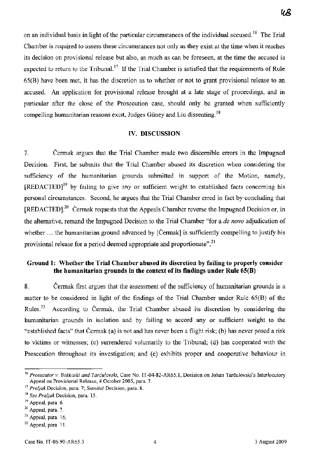on an individual basis in light of the particular circumstances of the individual accused.<sup>16</sup> The Trial Chamber is required to assess these circumstances not only as they exist at the time when it reaches its decision on provisional release but also, as much as can be foreseen, at the time the accused is expected to return to the Tribunal.<sup>17</sup> If the Trial Chamber is satisfied that the requirements of Rule 65(B) have been met, it has the discretion as to whether or not to grant provisional release to an accused. An application for provisional release brought at a late stage of proceedings, and in

particular after the close of the Prosecution case, should only be granted when sufficiently compelling humanitarian reasons exist, Judges Güney and Liu dissenting.<sup>18</sup>

## **IV. DISCUSSION**

7. Čermak argues that the Trial Chamber made two discernible errors in the Impugned Decision. First, he submits that the Trial Chamber abused its discretion when considering the sufficiency of the humanitarian grounds submitted in support of the Motion, namely,  $[REDACTED]^{19}$  by failing to give any or sufficient weight to established facts concerning his personal circumstances. Second, he argues that the Trial Chamber erred in fact by concluding that  $[REDACTED]$ <sup>20</sup> Čermak requests that the Appeals Chamber reverse the Impugned Decision or, in the alternative, remand the Impugned Decision to the Trial Chamber "for a *de novo* adjudication of whether ... the humanitarian ground advanced by [Cermak] is sufficiently compelling to justify his provisional release for a period deemed appropriate and proportionate".<sup>21</sup>

## **Ground l: Whether the Trial Chamber abused its discretion by failing to properly consider the humanitarian grounds in the context of its findings under Rule 65(B)**

8. Čermak first argues that the assessment of the sufficiency of humanitarian grounds is a matter to be considered in light of the findings of the Trial Chamber under Rule 65(B) of the Rules.<sup>22</sup> According to Čermak, the Trial Chamber abused its discretion by considering the humanitarian grounds in isolation and by failing to accord any or sufficient weight to the "established facts" that Čermak (a) is not and has never been a flight risk; (b) has never posed a risk to victims or witnesses; (c) surrendered voluntarily to the Tribunal; (d) has cooperated with the Prosecution throughout its investigation; and (e) exhibits proper and cooperative behaviour in

ч8

<sup>16</sup>*Prosecutor* v. *Boškoski and* Tarčulovski, Case No. IT-04-82-AR65.l, Decision on Johan Tarčulovski's Interlocutory Appeal on Provisional Release, 4 October 2005, para. 7.

<sup>17</sup>*Praljak* Decision, para. 7; Stanišić Decision, para. 8.

*<sup>18</sup> See Praljak* Decision, para. 15.

<sup>&</sup>lt;sup>19</sup> Appeal, para. 6.

<sup>20</sup> Appeal, para. 7.

 $21$  Appeal, para. 16.

 $22$  Appeal, para. 11.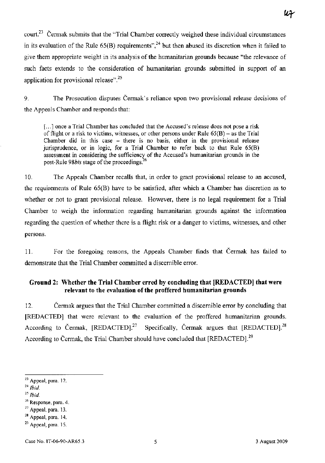court.<sup>23</sup> Čermak submits that the "Trial Chamber correctly weighed these individual circumstances in its evaluation of the Rule  $65(B)$  requirements",<sup>24</sup> but then abused its discretion when it failed to give them appropriate weight in its analysis of the humanitarian grounds because "the relevance of such facts extends to the consideration of humanitarian grounds submitted in support of an application for provisional release".<sup>25</sup>

9. The Prosecution disputes Čermak's reliance upon two provisional release decisions of the Appeals Chamber and responds that:

[...] once a Trial Chamber has concluded that the Accused's release does not pose a risk of flight or a risk to victims, witnesses, or other persons under Rule  $65(B)$  – as the Trial Chamber did in this case  $-$  there is no basis, either in the provisional release jurisprudence, or in logic, for a Trial Chamber to refer back to that Rule  $65(B)$ assessment in considering the sufficiency of the Accused's humanitarian grounds in the post-Rule *98bis* stage of the proceedings?6

10. The Appeals Chamber recalls that, in order to grant provisional release to an accused, the requirements of Rule 65(B) have to be satisfied, after which a Chamber has discretion as to whether or not to grant provisional release. However, there is no legal requirement for a Trial Chamber to weigh the information regarding humanitarian grounds against the information regarding the question of whether there is a flight risk or a danger to victims, witnesses, and other persons.

11. For the foregoing reasons, the Appeals Chamber finds that Čermak has failed to demonstrate that the Trial Chamber committed a discernible error.

## **Ground 2: Whether the Trial Chamber erred by concluding that [REDACTED] that were relevant to the evaluation of the proffered humanitarian grounds**

12. Čermak argues that the Trial Chamber committed a discernible error by concluding that [REDACTED] that were relevant to the evaluation of the proffered humanitarian grounds. According to Čermak,  $[REDACTER]$ <sup>27</sup> Specifically, Čermak argues that  $[REDACTER]$ <sup>28</sup> According to Čermak, the Trial Chamber should have concluded that [REDACTED].<sup>29</sup>

- *24 Ibid.*
- *25 Ibid.*

<sup>23</sup> Appeal, para. 12.

<sup>26</sup> Response, para. 4.

<sup>&</sup>lt;sup>27</sup> Appeal, para. 13.

 $28$  Appeal, para. 14.

 $29$  Appeal, para. 15.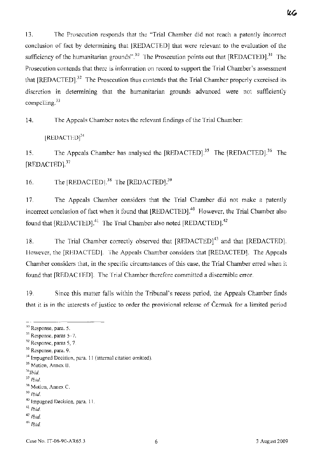13. The Prosecution responds that the "Trial Chamber did not reach a patently incorrect conclusion of fact by determining that [REDACTED] that were relevant to the evaluation of the sufficiency of the humanitarian grounds".<sup>30</sup> The Prosecution points out that  $[REDACTED]$ <sup>31</sup> The Prosecution contends that there is information on record to support the Trial Chamber's assessment that  $[REDACTED]$ <sup>32</sup> The Prosecution thus contends that the Trial Chamber properly exercised its discretion in determining that the humanitarian grounds advanced were not sufficiently compelling.<sup>33</sup>

14. The Appeals Chamber notes the relevant findings of the Trial Chamber:

[REDACTED]34

15. The Appeals Chamber has analysed the  $[REDACTER]$ <sup>35</sup> The  $[REDACTER]$ <sup>36</sup> The [REDACTED].<sup>37</sup>

16. The  $[REDACTER]$ .<sup>38</sup> The  $[REDACTER]$ .<sup>39</sup>

17. The Appeals Chamber considers that the Trial Chamber did not make a patently incorrect conclusion of fact when it found that [REDACTED].<sup>40</sup> However, the Trial Chamber also found that [REDACTED].<sup>41</sup> The Trial Chamber also noted [REDACTED].<sup>42</sup>

18. The Trial Chamber correctly observed that  $[REDACTED]^{43}$  and that  $[REDACTED]$ . However, the [REDACTED]. The Appeals Chamber considers that [REDACTED]. The Appeals Chamber considers that, in the specific circumstances of this case, the Trial Chamber erred when it found that [REDACTED]. The Trial Chamber therefore committed a discemible error.

19. Since this matter falls within the Tribunal's recess period, the Appeals Chamber finds that it is in the interests of justice to order the provisional release of Čermak for a limited period

<sup>41</sup>*Ibid.* 

kb

<sup>&</sup>lt;sup>30</sup> Response, para. 5.

<sup>&</sup>lt;sup>31</sup> Response, paras 5-7.

 $32$  Response, paras 5, 7.

<sup>33</sup> Response, para. 9.

<sup>&</sup>lt;sup>34</sup> Impugned Decision, para. 11 (internal citation omitted).

<sup>&</sup>lt;sup>35</sup> Motion, Annex B.

*<sup>36</sup>Ibid.* 

*<sup>37</sup> Ibid.* 

<sup>&</sup>lt;sup>38</sup> Motion, Annex C.

*<sup>39</sup> Ibid.* 

<sup>40</sup> Impugned Decision, para. ll.

*<sup>42</sup> Ibid.* 

*<sup>43</sup> Ibid.*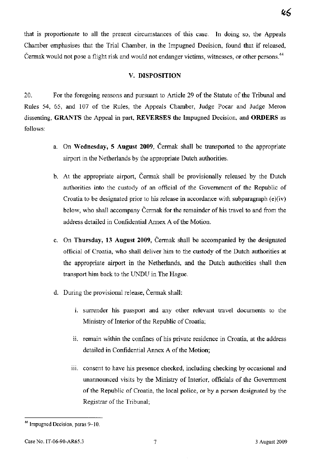that is proportionate to all the present circumstances of this case. In doing so, the Appeals Chamber emphasises that the Trial Chamber, in the Impugned Decision, found that if released, Čermak would not pose a flight risk and would not endanger victims, witnesses, or other persons.<sup>44</sup>

## V. DISPOSITION

20. For the foregoing reasons and pursuant to Article 29 of the Statute of the Tribunal and Rules 54, 65, and 107 of the Rules, the Appeals Chamber, Judge Pocar and Judge Meron dissenting, GRANTS the Appeal in part, REVERSES the Impugned Decision, and ORDERS as follows:

- a. On Wednesday, 5 August 2009, Čermak shall be transported to the appropriate airport in the Netherlands by the appropriate Dutch authorities.
- b. At the appropriate airport, Čermak shall be provisionally released by the Dutch authorities into the custody of an official of the Government of the Republic of Croatia to be designated prior to his release in accordance with subparagraph (e)(iv) below, who shall accompany Čermak for the remainder of his travel to and from the address detailed in Confidential Annex A of the Motion.
- c. On Thursday, 13 August 2009, Čermak shall be accompanied by the designated official of Croatia, who shall deliver him to the custody of the Dutch authorities at the appropriate airport in the Netherlands, and the Dutch authorities shall then transport him back to the UNDU in The Hague.
- d. During the provisional release, Čermak shall:
	- i. surrender his passport and any other relevant travel documents to the Ministry of Interior of the Republic of Croatia;
	- ii. remain within the confines of his private residence in Croatia, at the address detailed in Confidential Annex A of the Motion;
	- iii. consent to have his presence checked, including checking by occasional and unannounced visits by the Ministry of Interior, officials of the Government of the Republic of Croatia, the local police, or by a person designated by the Registrar of the Tribunal;

<sup>&</sup>lt;sup>44</sup> Impugned Decision, paras 9-10.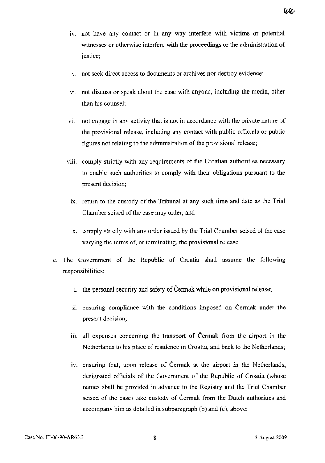- iv. not have any contact or in any way interfere with victims or potential witnesses or otherwise interfere with the proceedings or the administration of justice;
- v. not seek direct access to documents or archives nor destroy evidence;
- vi. not discuss or speak about the case with anyone, including the media, other than his counsel;
- vii. not engage in any activity that is not in accordance with the private nature of the provisional release, including any contact with public officials or public figures not relating to the administration of the provisional release;
- viii. comply strictly with any requirements of the Croatian authorities necessary to enable such authorities to comply with their obligations pursuant to the present decision;
	- ix. return to the custody of the Tribunal at any such time and date as the Trial Chamber seised of the case may order; and
	- X. comply strictly with any order issued by the Trial Chamber seised of the case varying the terms of, or terminating, the provisional release.
- e. The Government of the Republic of Croatia shall assume the following responsibilities:
	- 1. the personal security and safety of Čermak while on provisional release;
	- i. ensuring compliance with the conditions imposed on Čermak under the present decision;
	- iii. all expenses concerning the transport of Čermak from the airport in the Netherlands to his place of residence in Croatia, and back to the Netherlands;
	- iv. ensuring that, upon release of Čermak at the airport in the Netherlands, designated officials of the Government of the Republic of Croatia (whose names shall be provided in advance to the Registry and the Trial Chamber seised of the case) take custody of Čermak from the Dutch authorities and accompany him as detailed in subparagraph (b) and (c), above;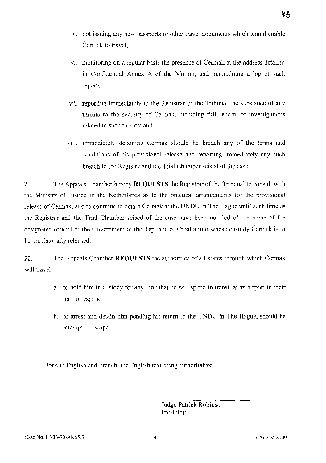- v. not issuing any new passports or other travel documents which would enable Čermak to travel;
- vi. monitoring on a regular basis the presence of Čermak at the address detailed in Confidential Annex A of the Motion, and maintaining a log of such reports;
- vii. reporting immediately to the Registrar of the Tribunal the substance of any threats to the security of Čermak, including full reports of investigations related to such threats; and
- viii. immediately detaining Čermak should he breach any of the terms and conditions of his provisional release and reporting immediately any such breach to the Registry and the Trial Chamber seised of the case.

21. The Appeals Chamber hereby **REQUESTS** the Registrar of the Tribunal to consult with the Ministry of Justice in the Netherlands as to the practical arrangements for the provisional release of Čermak, and to continue to detain Čermak at the UNDU in The Hague until such time as the Registrar and the Trial Chamber seised of the case have been notified of the name of the designated official of the Government of the Republic of Croatia into whose custody Čermak is to be provisionally released.

22. The Appeals Chamber **REQUESTS** the authorities of all states through which Čermak will travel:

- a. to hold him in custody for any time that he will spend in transit at an airport in their territories; and
- b. to arrest and detain him pending his return to the UNDU in The Hague, should he attempt to escape.

Done in English and French, the English text being authoritative.

Judge Patrick Robinson Presiding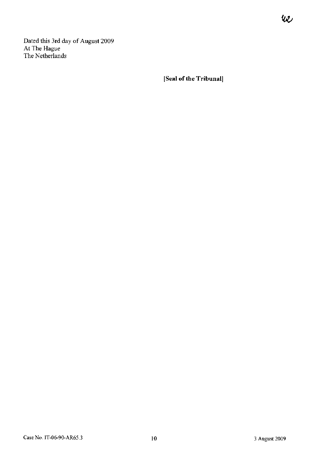Dated this 3rd day of August 2009 At The Hague The Netherlands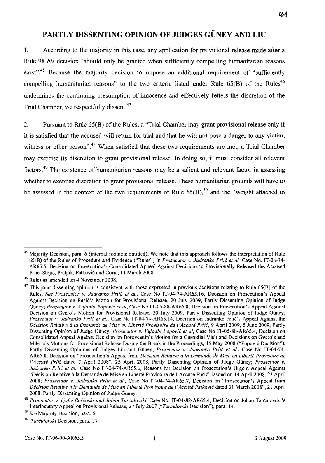# PARTLY DISSENTING OPINION OF JUDGES GÜNEY AND LIU

1. According to the majority in this case, any application for provisional release made after a Rule 98 *bis* decision "should only be granted when sufficiently compelling humanitarian reasons exist".<sup>45</sup> Because the majority decision to impose an additional requirement of "sufficiently compelling humanitarian reasons" to the two criteria listed under Rule  $65(B)$  of the Rules<sup>46</sup> undermines the continuing presumption of innocence and effectively fetters the discretion of the Trial Chamber, we respectfully dissent.<sup>47</sup>

2. Pursuant to Rule 65(B) of the Rules, a "Trial Chamber may grant provisional release only if it is satisfied that the accused will retum for trial and that he will not pose a danger to any victim, witness or other person".<sup>48</sup> When satisfied that these two requirements are met, a Trial Chamber may exercise its discretion to grant provisional release. **In** doing so, it must consider all relevant factors. 49 The existence of humanitarian reasons may be a salient and relevant factor in assessing whether to exercise discretion to grant provisional release. These humanitarian grounds will have to be assessed in the context of the two requirements of Rule  $65(B)$ ,<sup>50</sup> and the "weight attached to

<sup>&</sup>lt;sup>45</sup> Majority Decision, para. 6 (internal footnote omitted). We note that this approach follows the interpretation of Rule 65(B) of the Rules of Procedure and Evidence ("Rules") in *Prosecutor* v. *Jadranko* Prlić *et al.* Case No. IT-04-74- AR65.5, Decision on Prosecution's Consolidated Appeal Against Decisions to Provisionally Released the Accused Prlić, Stojić, Praljak, Petković and Ćorić, II March 2008.

<sup>46</sup> Rules as amended on 4 November 2008.

 $47$  This ioint dissenting opinion is consistent with those expressed in previous decisions relating to Rule 65(B) of the Rules. *See Prosecutor* v. *Jadranko* Prlić *et al.,* Case No IT-04-74-AR65.16, Decision on Prosecution' s Appeal Against Decision on Pušić's Motion for Provisional Release, 20 July 2009, Partly Dissenting Opinion of Judge Güney; *Prosecutor v. Vujadin Popović et al*, Case No IT-05-88-AR65.8, Decision on Prosecution's Appeal Against Decision on Gvero's Motion for Provisional Release, 20 July 2009, Partly Dissenting Opinion of Judge Giiney; *Prosecutor* v. *Jadranko* Prlić *et al.,* Case No IT-04-74-AR65.l4, Decision on Jadranko Prlić's Appeal Against the Décision Relative à la Demande de Mise en Liberté Provisoire de l'Accusé Prlić, 9 April 2009, 5 June 2009, Partly Dissenting Opinion of Judge Giiney; *Prosecutor* v. *Vujadin* Popović *et al,* Case No IT-05-88-AR65.4, Decision on Consolidated Appeal Against Decision on Borovčanin's Motion for a Custodial Visit and Decisions on Gvero's and Miletić's Motions for Provisional Release During the Break in the Proceedings, 15 May 2008 ("Popović Decision"), Partly Dissenting Opinions of Judges Liu and Giiney; *Prosecutor* v. *Jadranko* Prlić *et al.,* Case No IT-04-74- AR65.8, Decision on "Prosecution's Appeal from *Décision Relative à la Demande de Mise en Liberté Provisoire de I 'Accuse* Prlić dated 7 April 2008", 25 April 2008, Partly Dissenting Opinion of Judge Giiney; *Prosecutor* v. *Jadranko* Prlić *et al.,* Case No IT-04-74-AR65.6, Reasons for Decision on Prosecution's Urgent Appeal Against "Decision Relative a la Demande de Mise en Liberte Provisoire de l' Accuse Pušić" issued on 14 April 2008, 23 April 2008; *Prosecutor* v. *Jadranko* Prlić *et al.,* Case No IT-04-74-AR65.7, Decision on "Prosecution's Appeal from *Decision Relative iz la Demande de Mise en Liberte Provisoire de l 'Accuse* Petković dated 31 March 2008", 21 April 2008, Partly Dissenting Opinion of Judge Güney.

*<sup>48</sup> Prosecutor* v. *Ljube Boškoški and Johan* Tarčulovski, Case No. IT-04-82-AR65.4, Decision on Johan Tarčulovski's Interlocutory Appeal on Provisional Release, 27 July 2007 ("Tarčulovski Decision"), para. 14.

*<sup>49</sup> See* Majority Decision, para. 6.

<sup>&</sup>lt;sup>50</sup>Tarčulovski Decision, para. 14.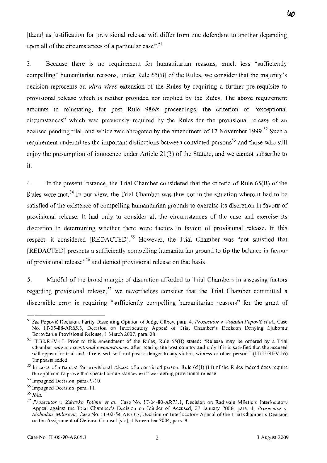WΟ

[them] as justification for provisional release will differ from one defendant to another depending upon all of the circumstances of a particular case".<sup>51</sup>

3. Because there is no requirement for humanitarian reasons, much less "sufficiently compelling" humanitarian reasons, under Rule 65(B) of the Rules, we consider that the majority's decision represents an *ultra vires* extension of the Rules by requiring a further pre-requisite to provisional release which is neither provided nor implied by the Rules. The above requirement amounts to reinstating, for post Rule *98bis* proceedings, the criterion of "exceptional circumstances" which was previously required by the Rules for the provisional release of an accused pending trial, and which was abrogated by the amendment of 17 November 1999.<sup>52</sup> Such a requirement undermines the important distinctions between convicted persons<sup>53</sup> and those who still enjoy the presumption of innocence under Article 21(3) of the Statute, and we cannot subscribe to it.

4. In the present instance, the Trial Chamber considered that the criteria of Rule 65(B) of the Rules were met.<sup>54</sup> In our view, the Trial Chamber was thus not in the situation where it had to be satisfied of the existence of compelling humanitarian grounds to exercise its discretion in favour of provisional release. It had only to consider all the circumstances of the case and exercise its discretion in determining whether there were factors in favour of provisional release. In this respect, it considered [REDACTED].<sup>55</sup> However, the Trial Chamber was "not satisfied that [REDACTED] presents a sufficiently compelling humanitarian ground to tip the balance in favour of provisional release<sup>556</sup> and denied provisional release on that basis.

5. Mindful of the broad margin of discretion afforded to Trial Chambers in assessing factors regarding provisional release,<sup>57</sup> we nevertheless consider that the Trial Chamber committed a discemible error in requiring "sufficiently compelling humanitarian reasons" for the grant of

<sup>51</sup>*See* Popović Decision, Partly Dissenting Opinion of Judge Giiney, para. 4; *Prosecutor* v. *Vujadin* Popović *et al.,* Case No. IT-05-88-AR65.3, Decision on Interlocutory Appeal of Trial Chamber's Decision Denying Ljubomir Borovčanin Provisional Release, l March 2007, para. 20.

<sup>52</sup> IT/32/REV.17. Prior to this amendment of the Rules, Rule 65(B) stated: "Release may be ordered by a Trial Chamber *only in exceptional circumstances,* after hearing the host country and only if it is satisfied that the accused will appear for trial and, if released, will not pose a danger to any victim, witness or other person." (IT/32/REV.16) Emphasis added.

 $53$  In cases of a request for provisional release of a convicted person, Rule 65(I) (iii) of the Rules indeed does require the applicant to prove that special circumstances exist warranting provisional release.

<sup>54</sup> Impugned Decision, paras 9-10.

<sup>55</sup> Impugned Decision, para. ll.

*<sup>56</sup> Ibid.* 

*<sup>57</sup> Prosecutor* v. *Zdravko Totimir et al.,* Case No. IT-04-80-AR73.1, Decision on Radivoje Miletić's Interlocutory Appeal against the Trial Chamber's Decision on Joinder of Accused, 27 January 2006, para. 4; *Prosecutor* v. *Slobodan Milošević*, Case No. IT-02-54-AR73.7, Decision on Interlocutory Appeal of the Trial Chamber's Decision on the Assignment of Defense Counsel [sic], l November 2004, para. 9.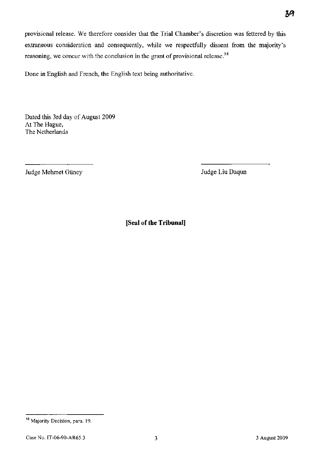provisional release. We therefore consider that the Trial Chamber's discretion was fettered by this extraneous consideration and consequently, while we respectfully dissent from the majority's reasoning, we concur with the conclusion in the grant of provisional release.<sup>58</sup>

Done in English and French, the English text being authoritative.

Dated this 3rd day of August 2009 At The Hague, The Netherlands

Judge Mehmet Giiney

Judge Liu Daqun

<sup>39</sup> 

<sup>58</sup> Majority Decision, para. 19.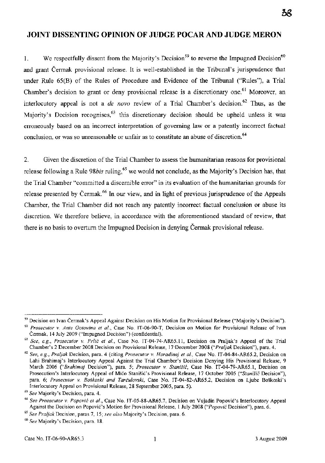## **JOINT DISSENTING OPINION OF JUDGE POCAR AND JUDGE MERON**

1. We respectfully dissent from the Majority's Decision<sup>59</sup> to reverse the Impugned Decision<sup>60</sup> and grant Čermak provisional release. It is well-established in the Tribunal's jurisprudence that under Rule 65(B) of the Rules of Procedure and Evidence of the Tribunal ("Rules"), a Trial Chamber's decision to grant or deny provisional release is a discretionary one.<sup>61</sup> Moreover, an interlocutory appeal is not a *de novo* review of a Trial Chamber's decision.<sup>62</sup> Thus, as the Majority's Decision recognises,<sup>63</sup> this discretionary decision should be upheld unless it was erroneously based on an incorrect interpretation of governing law or a patently incorrect factual conclusion, or was so unreasonable or unfair as to constitute an abuse of discretion.<sup>64</sup>

2. Given the discretion of the Trial Chamber to assess the humanitarian reasons for provisional release following a Rule 98*bis* ruling,<sup>65</sup> we would not conclude, as the Majority's Decision has, that the Trial Chamber "committed a discernible error" in its evaluation of the humanitarian grounds for release presented by Čermak.<sup>66</sup> In our view, and in light of previous jurisprudence of the Appeals Chamber, the Trial Chamber did not reach any patently incorrect factual conclusion or abuse its discretion. We therefore believe, in accordance with the aforementioned standard of review, that there is no basis to overturn the Impugned Decision in denying Čermak provisional release.

38

<sup>59</sup> Decision on Ivan Čermak's Appeal Against Decision on His Motion for Provisional Release ("Majority's Decision").

*<sup>60</sup> Prosecutor* v. *Ante Gotovina et al.,* Case No. IT -06-90-T, Decision on Motion for Provisional Release of Ivan Čermak, 14 July 2009 ("Impugned Decision") (confidential).

<sup>61</sup>*See, e.g., Prosecutor* v. Prlić *et al.,* Case No. IT-04-74-AR65.II, Decision on Praljak's Appeal of the Trial Chamber' s 2 December 2008 Decision on Provisional Release, 17 December 2008 *("Praljak* Decision"), para. 4.

*<sup>62</sup> See, e.g., Praljak* Decision, para. 4 (citing *Prosecutor* v. *Haradinaj et al.,* Case No. IT-04-84-AR65.2, Decision on Lahi Brahimaj's Interlocutory Appeal Against the Trial Chamber's Decision Denying His Provisional Release, 9 March 2006 *("Brahimaj* Decision"), para. 5; *Prosecutor* v. Stanišić, Case No. IT-04-79-AR65.1, Decision on Prosecution's Interlocutory Appeal of Mićo Stanišić's Provisional Release, 17 October 2005 ("Stanišić Decision"), para. 6; *Prosecutor* v. *Boškoski and* Tarčulovski, Case No. IT-04-82-AR65.2, Decision on Ljube Boškoski's Interlocutory Appeal on Provisional Release, 28 September 2005, para. 5).

*<sup>63</sup> See* Majority's Decision, para. 4.

*<sup>64</sup> See Prosecutor* v. Popović *et al.,* Case No. IT-05-88-AR65.7, Decision on Vujadin Popović's Interlocutory Appeal Against the Decision on Popović's Motion for Provisional Release, 1 July 2008 ("Popović Decision"), para. 6.

*<sup>65</sup> See Praljak* Decision, paras 7, 15; *see also* Majority's Decision, para. 6.

*<sup>66</sup> See* Majority' s Decision, para. 18.